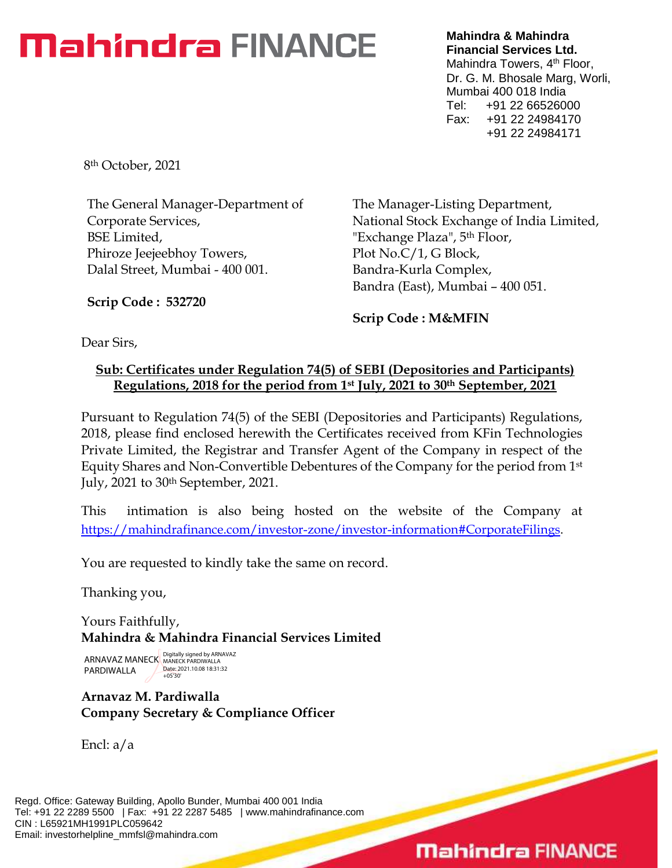# **Mahindra FINANCE**

**Mahindra & Mahindra Financial Services Ltd.** Mahindra Towers, 4<sup>th</sup> Floor, Dr. G. M. Bhosale Marg, Worli, Mumbai 400 018 India Tel: +91 22 66526000 Fax: +91 22 24984170 +91 22 24984171

8th October, 2021

The General Manager-Department of Corporate Services, BSE Limited, Phiroze Jeejeebhoy Towers, Dalal Street, Mumbai - 400 001.

The Manager-Listing Department, National Stock Exchange of India Limited, "Exchange Plaza", 5th Floor, Plot No.C/1, G Block, Bandra-Kurla Complex, Bandra (East), Mumbai – 400 051.

**Scrip Code : 532720**

**Scrip Code : M&MFIN**

Dear Sirs,

### **Sub: Certificates under Regulation 74(5) of SEBI (Depositories and Participants) Regulations, 2018 for the period from 1st July, 2021 to 30th September, 2021**

Pursuant to Regulation 74(5) of the SEBI (Depositories and Participants) Regulations, 2018, please find enclosed herewith the Certificates received from KFin Technologies Private Limited, the Registrar and Transfer Agent of the Company in respect of the Equity Shares and Non-Convertible Debentures of the Company for the period from 1 st July, 2021 to 30th September, 2021.

This intimation is also being hosted on the website of the Company at [https://mahindrafinance.com/investor-zone/investor-information#CorporateFilings.](https://mahindrafinance.com/investor-zone/investor-information#CorporateFilings)

You are requested to kindly take the same on record.

Thanking you,

Yours Faithfully, **Mahindra & Mahindra Financial Services Limited**

ARNAVAZ MANECK Digitally signed by ARNAVAZ PARDIWALLA Date: 2021.10.08 18:31:32 +05'30'

## **Arnavaz M. Pardiwalla Company Secretary & Compliance Officer**

Encl: a/a

Regd. Office: Gateway Building, Apollo Bunder, Mumbai 400 001 India Tel: +91 22 2289 5500 | Fax: +91 22 2287 5485 | www.mahindrafinance.com CIN : L65921MH1991PLC059642 Email: investorhelpline\_mmfsl@mahindra.com

# **Mahindra FINANCE**

 $\overline{\phantom{0}}$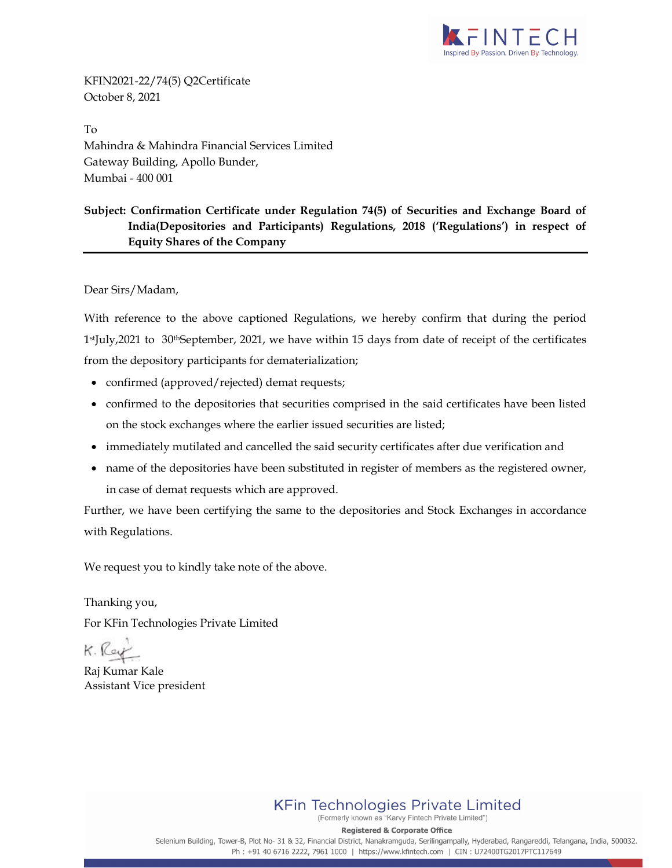

KFIN2021-22/74(5) Q2Certificate October 8, 2021

To Mahindra & Mahindra Financial Services Limited Gateway Building, Apollo Bunder, Mumbai - 400 001

#### Subject: Confirmation Certificate under Regulation 74(5) of Securities and Exchange Board of India(Depositories and Participants) Regulations, 2018 ('Regulations') in respect of Equity Shares of the Company

Dear Sirs/Madam,

With reference to the above captioned Regulations, we hereby confirm that during the period 1stJuly,2021 to 30thSeptember, 2021, we have within 15 days from date of receipt of the certificates from the depository participants for dematerialization;

- confirmed (approved/rejected) demat requests;
- confirmed to the depositories that securities comprised in the said certificates have been listed on the stock exchanges where the earlier issued securities are listed;
- immediately mutilated and cancelled the said security certificates after due verification and
- name of the depositories have been substituted in register of members as the registered owner, in case of demat requests which are approved.

Further, we have been certifying the same to the depositories and Stock Exchanges in accordance with Regulations.

We request you to kindly take note of the above.

Thanking you, For KFin Technologies Private Limited

K. Ka

Raj Kumar Kale Assistant Vice president

**KFin Technologies Private Limited** 

(Formerly known as "Karvy Fintech Private Limited")

**Registered & Corporate Office** Selenium Building, Tower-B, Plot No- 31 & 32, Financial District, Nanakramguda, Serilingampally, Hyderabad, Rangareddi, Telangana, India, 500032. Ph: +91 40 6716 2222, 7961 1000 | https://www.kfintech.com | CIN: U72400TG2017PTC117649